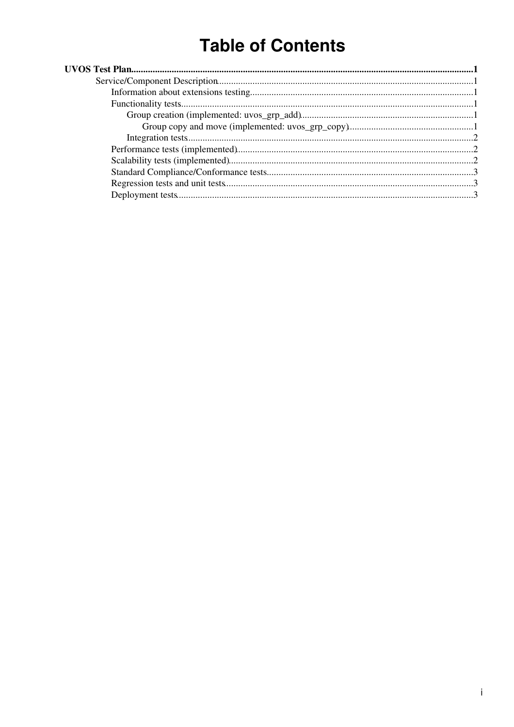# **Table of Contents**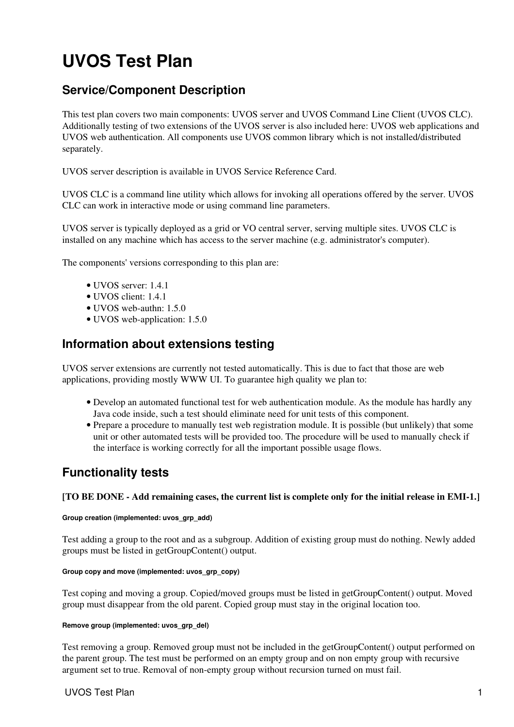# <span id="page-1-0"></span>**UVOS Test Plan**

# <span id="page-1-1"></span>**Service/Component Description**

This test plan covers two main components: UVOS server and UVOS Command Line Client (UVOS CLC). Additionally testing of two extensions of the UVOS server is also included here: UVOS web applications and UVOS web authentication. All components use UVOS common library which is not installed/distributed separately.

UVOS server description is available in [UVOS Service Reference Card.](https://twiki.cern.ch/twiki/bin/view/EMI/UNICOREuvosSRC)

UVOS CLC is a command line utility which allows for invoking all operations offered by the server. UVOS CLC can work in interactive mode or using command line parameters.

UVOS server is typically deployed as a grid or VO central server, serving multiple sites. UVOS CLC is installed on any machine which has access to the server machine (e.g. administrator's computer).

The components' versions corresponding to this plan are:

- UVOS server: 1.4.1
- UVOS client: 1.4.1
- UVOS web-authn: 1.5.0
- UVOS web-application: 1.5.0

## <span id="page-1-2"></span>**Information about extensions testing**

UVOS server extensions are currently not tested automatically. This is due to fact that those are web applications, providing mostly WWW UI. To guarantee high quality we plan to:

- Develop an automated functional test for web authentication module. As the module has hardly any Java code inside, such a test should eliminate need for unit tests of this component.
- Prepare a procedure to manually test web registration module. It is possible (but unlikely) that some unit or other automated tests will be provided too. The procedure will be used to manually check if the interface is working correctly for all the important possible usage flows.

## <span id="page-1-3"></span>**Functionality tests**

### **[TO BE DONE - Add remaining cases, the current list is complete only for the initial release in EMI-1.]**

#### <span id="page-1-4"></span>**Group creation (implemented: uvos\_grp\_add)**

Test adding a group to the root and as a subgroup. Addition of existing group must do nothing. Newly added groups must be listed in getGroupContent() output.

#### <span id="page-1-5"></span>**Group copy and move (implemented: uvos\_grp\_copy)**

Test coping and moving a group. Copied/moved groups must be listed in getGroupContent() output. Moved group must disappear from the old parent. Copied group must stay in the original location too.

#### **Remove group (implemented: uvos\_grp\_del)**

Test removing a group. Removed group must not be included in the getGroupContent() output performed on the parent group. The test must be performed on an empty group and on non empty group with recursive argument set to true. Removal of non-empty group without recursion turned on must fail.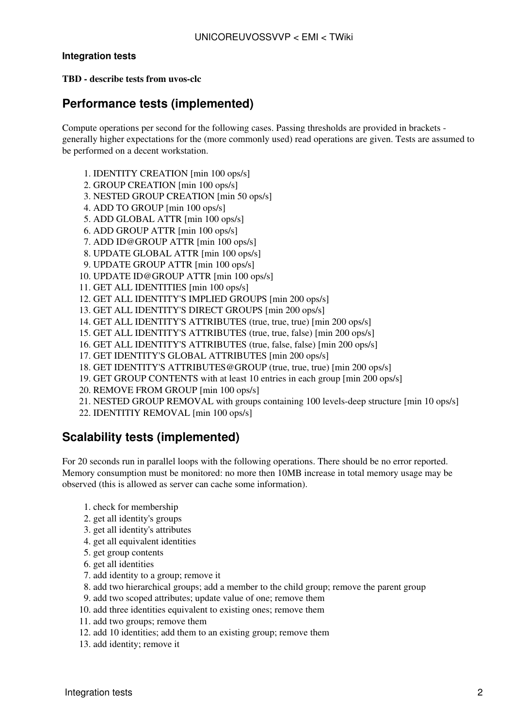### <span id="page-2-0"></span>**Integration tests**

#### **TBD - describe tests from uvos-clc**

## <span id="page-2-1"></span>**Performance tests (implemented)**

Compute operations per second for the following cases. Passing thresholds are provided in brackets generally higher expectations for the (more commonly used) read operations are given. Tests are assumed to be performed on a decent workstation.

- 1. IDENTITY CREATION [min 100 ops/s]
- 2. GROUP CREATION [min 100 ops/s]
- 3. NESTED GROUP CREATION [min 50 ops/s]
- 4. ADD TO GROUP [min 100 ops/s]
- 5. ADD GLOBAL ATTR [min 100 ops/s]
- 6. ADD GROUP ATTR [min 100 ops/s]
- 7. ADD ID@GROUP ATTR [min 100 ops/s]
- 8. UPDATE GLOBAL ATTR [min 100 ops/s]
- 9. UPDATE GROUP ATTR [min 100 ops/s]
- 10. UPDATE ID@GROUP ATTR [min 100 ops/s]
- 11. GET ALL IDENTITIES [min 100 ops/s]
- 12. GET ALL IDENTITY'S IMPLIED GROUPS [min 200 ops/s]
- 13. GET ALL IDENTITY'S DIRECT GROUPS [min 200 ops/s]
- 14. GET ALL IDENTITY'S ATTRIBUTES (true, true, true) [min 200 ops/s]
- 15. GET ALL IDENTITY'S ATTRIBUTES (true, true, false) [min 200 ops/s]
- 16. GET ALL IDENTITY'S ATTRIBUTES (true, false, false) [min 200 ops/s]
- 17. GET IDENTITY'S GLOBAL ATTRIBUTES [min 200 ops/s]
- 18. GET IDENTITY'S ATTRIBUTES@GROUP (true, true, true) [min 200 ops/s]
- 19. GET GROUP CONTENTS with at least 10 entries in each group [min 200 ops/s]
- 20. REMOVE FROM GROUP [min 100 ops/s]
- 21. NESTED GROUP REMOVAL with groups containing 100 levels-deep structure [min 10 ops/s]
- 22. IDENTITIY REMOVAL [min 100 ops/s]

## <span id="page-2-2"></span>**Scalability tests (implemented)**

For 20 seconds run in parallel loops with the following operations. There should be no error reported. Memory consumption must be monitored: no more then 10MB increase in total memory usage may be observed (this is allowed as server can cache some information).

- 1. check for membership
- 2. get all identity's groups
- 3. get all identity's attributes
- 4. get all equivalent identities
- 5. get group contents
- 6. get all identities
- 7. add identity to a group; remove it
- 8. add two hierarchical groups; add a member to the child group; remove the parent group
- 9. add two scoped attributes; update value of one; remove them
- 10. add three identities equivalent to existing ones; remove them
- 11. add two groups; remove them
- 12. add 10 identities; add them to an existing group; remove them
- 13. add identity; remove it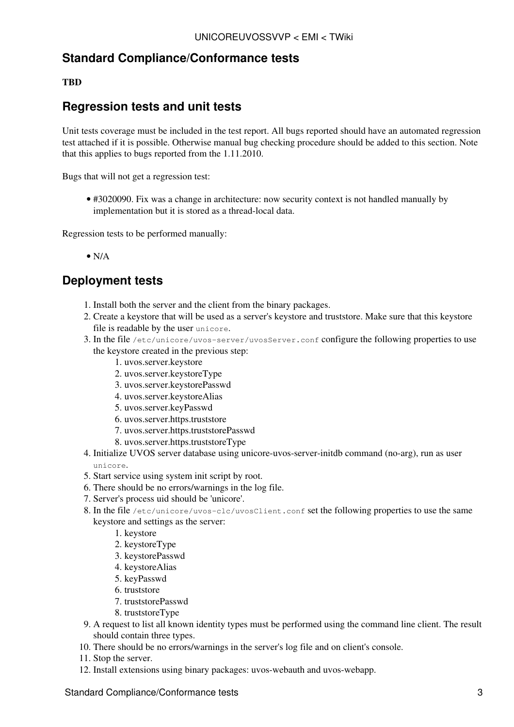## <span id="page-3-0"></span>**Standard Compliance/Conformance tests**

## **TBD**

## <span id="page-3-1"></span>**Regression tests and unit tests**

Unit tests coverage must be included in the test report. All bugs reported should have an automated regression test attached if it is possible. Otherwise manual bug checking procedure should be added to this section. Note that this applies to bugs reported from the 1.11.2010.

Bugs that will not get a regression test:

• #3020090. Fix was a change in architecture: now security context is not handled manually by implementation but it is stored as a thread-local data.

Regression tests to be performed manually:

 $\bullet$  N/A

## <span id="page-3-2"></span>**Deployment tests**

- 1. Install both the server and the client from the binary packages.
- 2. Create a keystore that will be used as a server's keystore and truststore. Make sure that this keystore file is readable by the user unicore.
- 3. In the file /etc/unicore/uvos-server/uvosServer.conf configure the following properties to use the keystore created in the previous step:
	- 1. uvos.server.keystore
	- 2. uvos.server.keystoreType
	- 3. uvos.server.keystorePasswd
	- 4. uvos.server.keystoreAlias
	- 5. uvos.server.keyPasswd
	- 6. uvos.server.https.truststore
	- 7. uvos.server.https.truststorePasswd
	- 8. uvos.server.https.truststoreType
- 4. Initialize UVOS server database using unicore-uvos-server-initdb command (no-arg), run as user unicore.
- 5. Start service using system init script by root.
- 6. There should be no errors/warnings in the log file.
- 7. Server's process uid should be 'unicore'.
- 8. In the file /etc/unicore/uvos-clc/uvosClient.conf set the following properties to use the same keystore and settings as the server:
	- 1. keystore
	- 2. keystoreType
	- 3. keystorePasswd
	- 4. keystoreAlias
	- 5. keyPasswd
	- 6. truststore
	- 7. truststorePasswd
	- 8. truststoreType
- A request to list all known identity types must be performed using the command line client. The result 9. should contain three types.
- 10. There should be no errors/warnings in the server's log file and on client's console.
- 11. Stop the server.
- 12. Install extensions using binary packages: uvos-webauth and uvos-webapp.